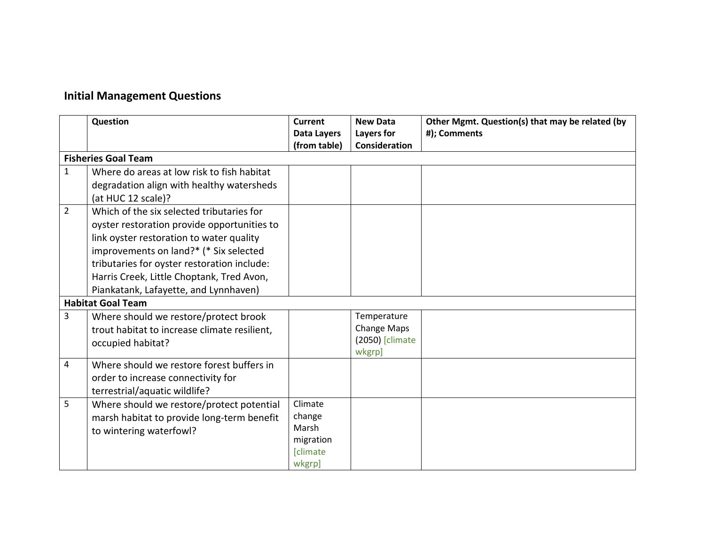## **Initial Management Questions**

|                | Question                                                                                                                                                                                                                                                                                                            | Current                                                              | <b>New Data</b>                                         | Other Mgmt. Question(s) that may be related (by |  |  |
|----------------|---------------------------------------------------------------------------------------------------------------------------------------------------------------------------------------------------------------------------------------------------------------------------------------------------------------------|----------------------------------------------------------------------|---------------------------------------------------------|-------------------------------------------------|--|--|
|                |                                                                                                                                                                                                                                                                                                                     | <b>Data Layers</b><br>(from table)                                   | Layers for<br><b>Consideration</b>                      | #); Comments                                    |  |  |
|                | <b>Fisheries Goal Team</b>                                                                                                                                                                                                                                                                                          |                                                                      |                                                         |                                                 |  |  |
| $\mathbf{1}$   | Where do areas at low risk to fish habitat<br>degradation align with healthy watersheds<br>(at HUC 12 scale)?                                                                                                                                                                                                       |                                                                      |                                                         |                                                 |  |  |
| $\overline{2}$ | Which of the six selected tributaries for<br>oyster restoration provide opportunities to<br>link oyster restoration to water quality<br>improvements on land?* (* Six selected<br>tributaries for oyster restoration include:<br>Harris Creek, Little Choptank, Tred Avon,<br>Piankatank, Lafayette, and Lynnhaven) |                                                                      |                                                         |                                                 |  |  |
|                | <b>Habitat Goal Team</b>                                                                                                                                                                                                                                                                                            |                                                                      |                                                         |                                                 |  |  |
| 3              | Where should we restore/protect brook<br>trout habitat to increase climate resilient,<br>occupied habitat?                                                                                                                                                                                                          |                                                                      | Temperature<br>Change Maps<br>(2050) [climate<br>wkgrp] |                                                 |  |  |
| 4              | Where should we restore forest buffers in<br>order to increase connectivity for<br>terrestrial/aquatic wildlife?                                                                                                                                                                                                    |                                                                      |                                                         |                                                 |  |  |
| 5              | Where should we restore/protect potential<br>marsh habitat to provide long-term benefit<br>to wintering waterfowl?                                                                                                                                                                                                  | Climate<br>change<br>Marsh<br>migration<br><b>[climate</b><br>wkgrp] |                                                         |                                                 |  |  |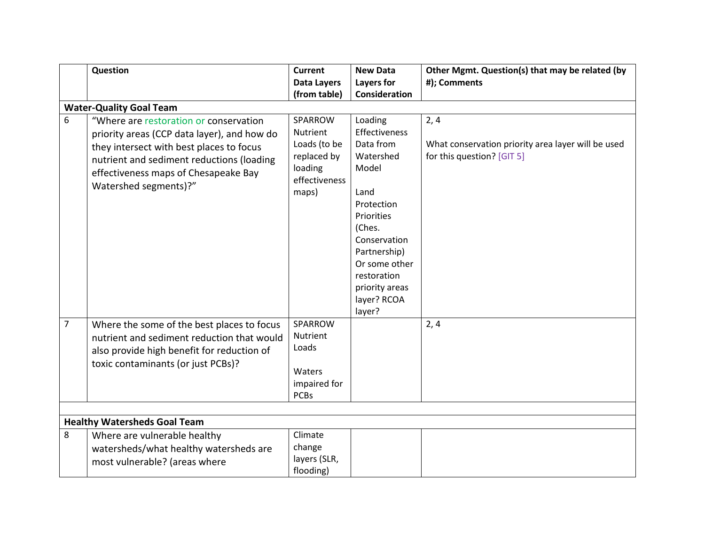|                | Question                                                                                                                                                                                                                                        | <b>Current</b>                                                                                 | <b>New Data</b>                                                                                                                                                                                                             | Other Mgmt. Question(s) that may be related (by                                          |  |  |  |
|----------------|-------------------------------------------------------------------------------------------------------------------------------------------------------------------------------------------------------------------------------------------------|------------------------------------------------------------------------------------------------|-----------------------------------------------------------------------------------------------------------------------------------------------------------------------------------------------------------------------------|------------------------------------------------------------------------------------------|--|--|--|
|                |                                                                                                                                                                                                                                                 | <b>Data Layers</b>                                                                             | Layers for                                                                                                                                                                                                                  | #); Comments                                                                             |  |  |  |
|                |                                                                                                                                                                                                                                                 | (from table)                                                                                   | Consideration                                                                                                                                                                                                               |                                                                                          |  |  |  |
|                | <b>Water-Quality Goal Team</b>                                                                                                                                                                                                                  |                                                                                                |                                                                                                                                                                                                                             |                                                                                          |  |  |  |
| 6              | "Where are restoration or conservation<br>priority areas (CCP data layer), and how do<br>they intersect with best places to focus<br>nutrient and sediment reductions (loading<br>effectiveness maps of Chesapeake Bay<br>Watershed segments)?" | SPARROW<br><b>Nutrient</b><br>Loads (to be<br>replaced by<br>loading<br>effectiveness<br>maps) | Loading<br><b>Effectiveness</b><br>Data from<br>Watershed<br>Model<br>Land<br>Protection<br>Priorities<br>(Ches.<br>Conservation<br>Partnership)<br>Or some other<br>restoration<br>priority areas<br>layer? RCOA<br>layer? | 2, 4<br>What conservation priority area layer will be used<br>for this question? [GIT 5] |  |  |  |
| $\overline{7}$ | Where the some of the best places to focus<br>nutrient and sediment reduction that would<br>also provide high benefit for reduction of<br>toxic contaminants (or just PCBs)?                                                                    | SPARROW<br><b>Nutrient</b><br>Loads<br>Waters<br>impaired for<br><b>PCBs</b>                   |                                                                                                                                                                                                                             | 2, 4                                                                                     |  |  |  |
|                | <b>Healthy Watersheds Goal Team</b>                                                                                                                                                                                                             |                                                                                                |                                                                                                                                                                                                                             |                                                                                          |  |  |  |
| 8              | Where are vulnerable healthy<br>watersheds/what healthy watersheds are<br>most vulnerable? (areas where                                                                                                                                         | Climate<br>change<br>layers (SLR,<br>flooding)                                                 |                                                                                                                                                                                                                             |                                                                                          |  |  |  |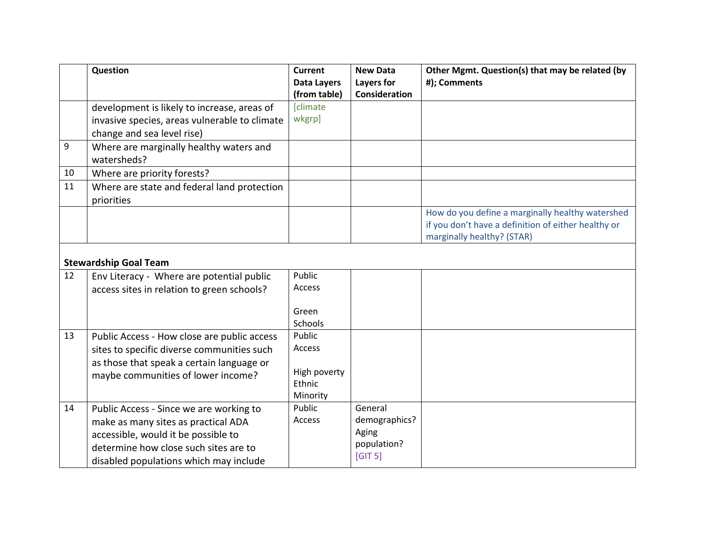|    | Question                                      | <b>Current</b>          | <b>New Data</b> | Other Mgmt. Question(s) that may be related (by     |  |  |  |
|----|-----------------------------------------------|-------------------------|-----------------|-----------------------------------------------------|--|--|--|
|    |                                               | <b>Data Layers</b>      | Layers for      | #); Comments                                        |  |  |  |
|    |                                               | (from table)            | Consideration   |                                                     |  |  |  |
|    | development is likely to increase, areas of   | <b>[climate</b>         |                 |                                                     |  |  |  |
|    | invasive species, areas vulnerable to climate | wkgrp]                  |                 |                                                     |  |  |  |
|    | change and sea level rise)                    |                         |                 |                                                     |  |  |  |
| 9  | Where are marginally healthy waters and       |                         |                 |                                                     |  |  |  |
|    | watersheds?                                   |                         |                 |                                                     |  |  |  |
| 10 | Where are priority forests?                   |                         |                 |                                                     |  |  |  |
| 11 | Where are state and federal land protection   |                         |                 |                                                     |  |  |  |
|    | priorities                                    |                         |                 |                                                     |  |  |  |
|    |                                               |                         |                 | How do you define a marginally healthy watershed    |  |  |  |
|    |                                               |                         |                 | if you don't have a definition of either healthy or |  |  |  |
|    |                                               |                         |                 | marginally healthy? (STAR)                          |  |  |  |
|    |                                               |                         |                 |                                                     |  |  |  |
|    | <b>Stewardship Goal Team</b>                  |                         |                 |                                                     |  |  |  |
| 12 | Env Literacy - Where are potential public     | Public                  |                 |                                                     |  |  |  |
|    | access sites in relation to green schools?    | Access                  |                 |                                                     |  |  |  |
|    |                                               |                         |                 |                                                     |  |  |  |
|    |                                               | Green<br><b>Schools</b> |                 |                                                     |  |  |  |
| 13 |                                               | Public                  |                 |                                                     |  |  |  |
|    | Public Access - How close are public access   | Access                  |                 |                                                     |  |  |  |
|    | sites to specific diverse communities such    |                         |                 |                                                     |  |  |  |
|    | as those that speak a certain language or     | High poverty            |                 |                                                     |  |  |  |
|    | maybe communities of lower income?            | Ethnic                  |                 |                                                     |  |  |  |
|    |                                               | Minority                |                 |                                                     |  |  |  |
| 14 | Public Access - Since we are working to       | Public                  | General         |                                                     |  |  |  |
|    | make as many sites as practical ADA           | Access                  | demographics?   |                                                     |  |  |  |
|    | accessible, would it be possible to           |                         | Aging           |                                                     |  |  |  |
|    | determine how close such sites are to         |                         | population?     |                                                     |  |  |  |
|    | disabled populations which may include        |                         | [GIT 5]         |                                                     |  |  |  |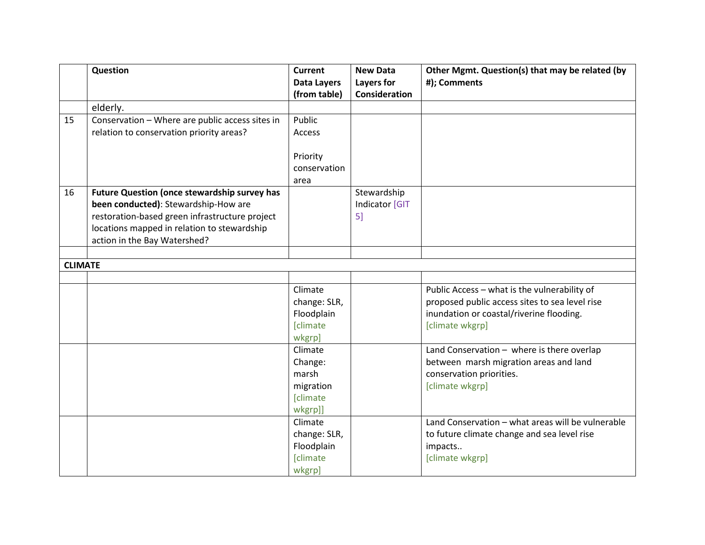|                | Question                                            | <b>Current</b>                                                                                                | <b>New Data</b> | Other Mgmt. Question(s) that may be related (by                                                                                                   |
|----------------|-----------------------------------------------------|---------------------------------------------------------------------------------------------------------------|-----------------|---------------------------------------------------------------------------------------------------------------------------------------------------|
|                |                                                     | <b>Data Layers</b>                                                                                            | Layers for      | #); Comments                                                                                                                                      |
|                |                                                     | (from table)                                                                                                  | Consideration   |                                                                                                                                                   |
|                | elderly.                                            |                                                                                                               |                 |                                                                                                                                                   |
| 15             | Conservation - Where are public access sites in     | Public                                                                                                        |                 |                                                                                                                                                   |
|                | relation to conservation priority areas?            | Access                                                                                                        |                 |                                                                                                                                                   |
|                |                                                     |                                                                                                               |                 |                                                                                                                                                   |
|                |                                                     | Priority                                                                                                      |                 |                                                                                                                                                   |
|                |                                                     | conservation                                                                                                  |                 |                                                                                                                                                   |
|                |                                                     | area                                                                                                          |                 |                                                                                                                                                   |
| 16             | <b>Future Question (once stewardship survey has</b> |                                                                                                               | Stewardship     |                                                                                                                                                   |
|                | been conducted): Stewardship-How are                |                                                                                                               | Indicator [GIT  |                                                                                                                                                   |
|                | restoration-based green infrastructure project      |                                                                                                               | 5]              |                                                                                                                                                   |
|                | locations mapped in relation to stewardship         |                                                                                                               |                 |                                                                                                                                                   |
|                | action in the Bay Watershed?                        |                                                                                                               |                 |                                                                                                                                                   |
|                |                                                     |                                                                                                               |                 |                                                                                                                                                   |
| <b>CLIMATE</b> |                                                     |                                                                                                               |                 |                                                                                                                                                   |
|                |                                                     |                                                                                                               |                 |                                                                                                                                                   |
|                |                                                     | Climate                                                                                                       |                 | Public Access - what is the vulnerability of                                                                                                      |
|                |                                                     | change: SLR,                                                                                                  |                 | proposed public access sites to sea level rise                                                                                                    |
|                |                                                     | Floodplain                                                                                                    |                 | inundation or coastal/riverine flooding.                                                                                                          |
|                |                                                     | <b>[climate</b>                                                                                               |                 | [climate wkgrp]                                                                                                                                   |
|                |                                                     | wkgrp]                                                                                                        |                 |                                                                                                                                                   |
|                |                                                     | Climate                                                                                                       |                 | Land Conservation - where is there overlap                                                                                                        |
|                |                                                     | Change:                                                                                                       |                 | between marsh migration areas and land                                                                                                            |
|                |                                                     | marsh                                                                                                         |                 | conservation priorities.                                                                                                                          |
|                |                                                     |                                                                                                               |                 |                                                                                                                                                   |
|                |                                                     |                                                                                                               |                 |                                                                                                                                                   |
|                |                                                     |                                                                                                               |                 |                                                                                                                                                   |
|                |                                                     |                                                                                                               |                 |                                                                                                                                                   |
|                |                                                     |                                                                                                               |                 |                                                                                                                                                   |
|                |                                                     |                                                                                                               |                 |                                                                                                                                                   |
|                |                                                     |                                                                                                               |                 |                                                                                                                                                   |
|                |                                                     | migration<br><b>[climate</b><br>wkgrp]]<br>Climate<br>change: SLR,<br>Floodplain<br><b>[climate</b><br>wkgrp] |                 | [climate wkgrp]<br>Land Conservation - what areas will be vulnerable<br>to future climate change and sea level rise<br>impacts<br>[climate wkgrp] |